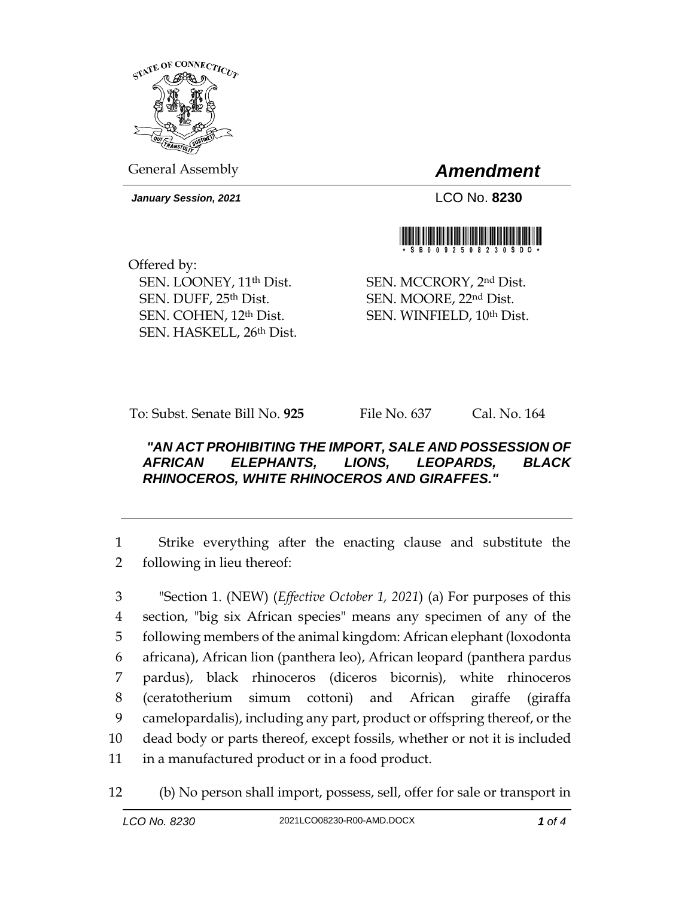

*January Session, 2021* LCO No. **8230**

General Assembly *Amendment*



Offered by: SEN. LOONEY, 11th Dist. SEN. DUFF, 25th Dist. SEN. COHEN, 12th Dist. SEN. HASKELL, 26th Dist.

SEN. MCCRORY, 2nd Dist. SEN. MOORE, 22nd Dist. SEN. WINFIELD, 10th Dist.

To: Subst. Senate Bill No. **925** File No. 637 Cal. No. 164

## *"AN ACT PROHIBITING THE IMPORT, SALE AND POSSESSION OF AFRICAN ELEPHANTS, LIONS, LEOPARDS, BLACK RHINOCEROS, WHITE RHINOCEROS AND GIRAFFES."*

1 Strike everything after the enacting clause and substitute the 2 following in lieu thereof:

 "Section 1. (NEW) (*Effective October 1, 2021*) (a) For purposes of this section, "big six African species" means any specimen of any of the following members of the animal kingdom: African elephant (loxodonta africana), African lion (panthera leo), African leopard (panthera pardus pardus), black rhinoceros (diceros bicornis), white rhinoceros (ceratotherium simum cottoni) and African giraffe (giraffa camelopardalis), including any part, product or offspring thereof, or the dead body or parts thereof, except fossils, whether or not it is included in a manufactured product or in a food product.

12 (b) No person shall import, possess, sell, offer for sale or transport in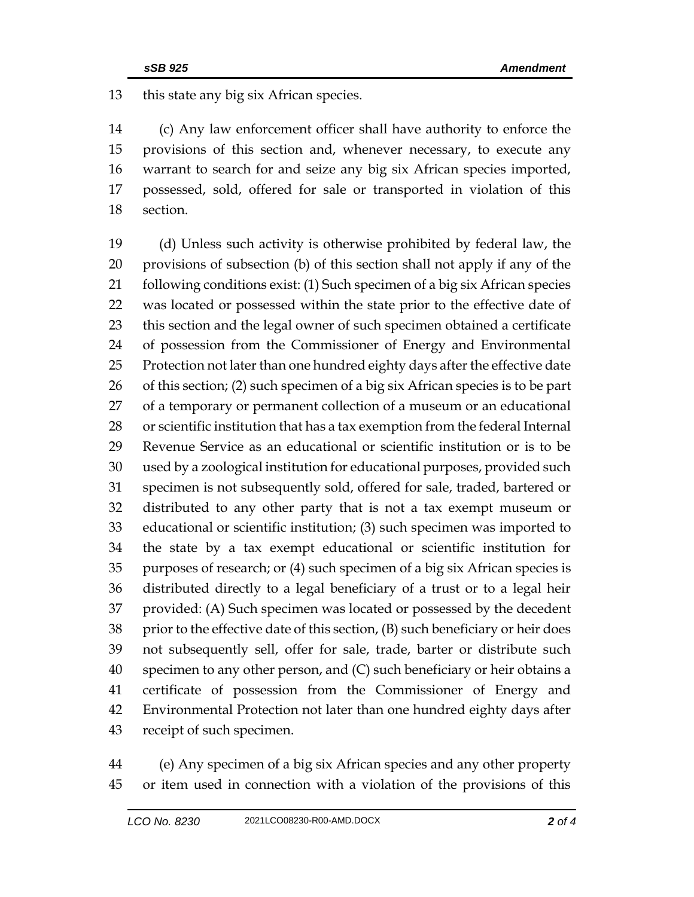this state any big six African species.

 (c) Any law enforcement officer shall have authority to enforce the provisions of this section and, whenever necessary, to execute any warrant to search for and seize any big six African species imported, possessed, sold, offered for sale or transported in violation of this section.

 (d) Unless such activity is otherwise prohibited by federal law, the provisions of subsection (b) of this section shall not apply if any of the 21 following conditions exist: (1) Such specimen of a big six African species was located or possessed within the state prior to the effective date of this section and the legal owner of such specimen obtained a certificate of possession from the Commissioner of Energy and Environmental Protection not later than one hundred eighty days after the effective date of this section; (2) such specimen of a big six African species is to be part of a temporary or permanent collection of a museum or an educational or scientific institution that has a tax exemption from the federal Internal Revenue Service as an educational or scientific institution or is to be used by a zoological institution for educational purposes, provided such specimen is not subsequently sold, offered for sale, traded, bartered or distributed to any other party that is not a tax exempt museum or educational or scientific institution; (3) such specimen was imported to the state by a tax exempt educational or scientific institution for purposes of research; or (4) such specimen of a big six African species is distributed directly to a legal beneficiary of a trust or to a legal heir provided: (A) Such specimen was located or possessed by the decedent prior to the effective date of this section, (B) such beneficiary or heir does not subsequently sell, offer for sale, trade, barter or distribute such specimen to any other person, and (C) such beneficiary or heir obtains a certificate of possession from the Commissioner of Energy and Environmental Protection not later than one hundred eighty days after receipt of such specimen.

 (e) Any specimen of a big six African species and any other property or item used in connection with a violation of the provisions of this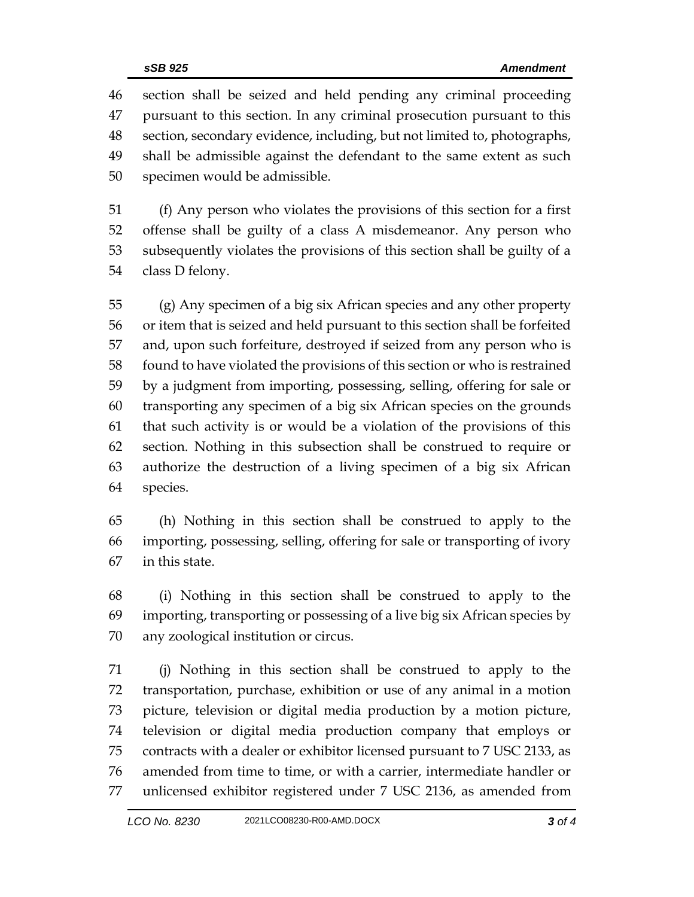section shall be seized and held pending any criminal proceeding pursuant to this section. In any criminal prosecution pursuant to this section, secondary evidence, including, but not limited to, photographs, shall be admissible against the defendant to the same extent as such specimen would be admissible.

 (f) Any person who violates the provisions of this section for a first offense shall be guilty of a class A misdemeanor. Any person who subsequently violates the provisions of this section shall be guilty of a class D felony.

 (g) Any specimen of a big six African species and any other property or item that is seized and held pursuant to this section shall be forfeited and, upon such forfeiture, destroyed if seized from any person who is found to have violated the provisions of this section or who is restrained by a judgment from importing, possessing, selling, offering for sale or transporting any specimen of a big six African species on the grounds that such activity is or would be a violation of the provisions of this section. Nothing in this subsection shall be construed to require or authorize the destruction of a living specimen of a big six African species.

 (h) Nothing in this section shall be construed to apply to the importing, possessing, selling, offering for sale or transporting of ivory in this state.

 (i) Nothing in this section shall be construed to apply to the importing, transporting or possessing of a live big six African species by any zoological institution or circus.

 (j) Nothing in this section shall be construed to apply to the transportation, purchase, exhibition or use of any animal in a motion picture, television or digital media production by a motion picture, television or digital media production company that employs or contracts with a dealer or exhibitor licensed pursuant to 7 USC 2133, as amended from time to time, or with a carrier, intermediate handler or unlicensed exhibitor registered under 7 USC 2136, as amended from